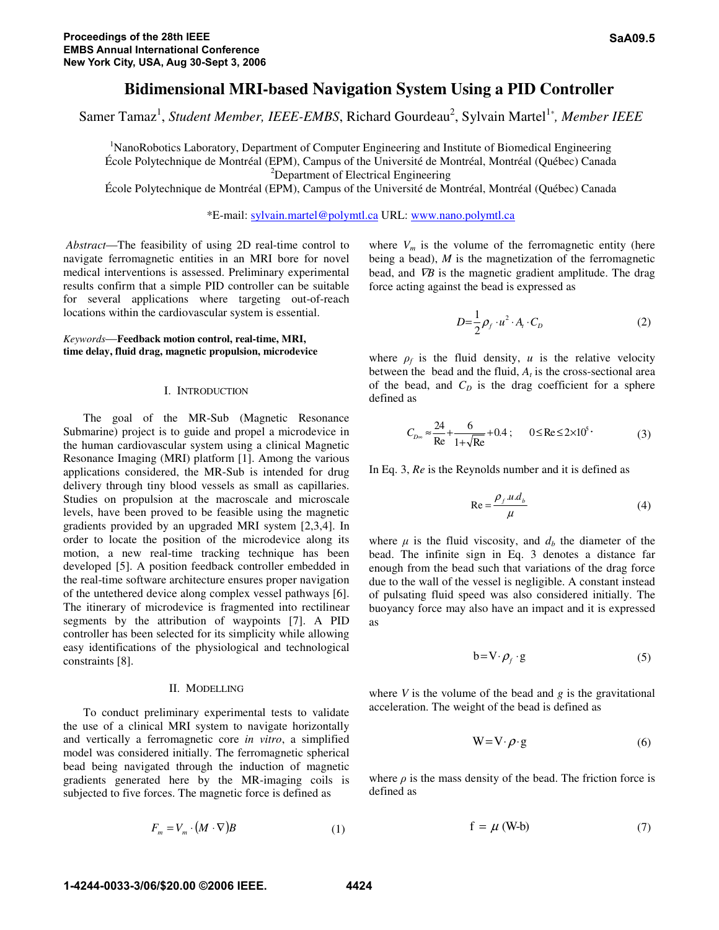# **Bidimensional MRI-based Navigation System Using a PID Controller**

Samer Tamaz<sup>1</sup>, *Student Member, IEEE-EMBS*, Richard Gourdeau<sup>2</sup>, Sylvain Martel<sup>1\*</sup>, *Member IEEE* 

<sup>1</sup>NanoRobotics Laboratory, Department of Computer Engineering and Institute of Biomedical Engineering École Polytechnique de Montréal (EPM), Campus of the Université de Montréal, Montréal (Québec) Canada 2 <sup>2</sup>Department of Electrical Engineering

École Polytechnique de Montréal (EPM), Campus of the Université de Montréal, Montréal (Québec) Canada

\*E-mail: sylvain.martel@polymtl.ca URL: www.nano.polymtl.ca

 *Abstract*—The feasibility of using 2D real-time control to navigate ferromagnetic entities in an MRI bore for novel medical interventions is assessed. Preliminary experimental results confirm that a simple PID controller can be suitable for several applications where targeting out-of-reach locations within the cardiovascular system is essential.

# *Keywords*—**Feedback motion control, real-time, MRI, time delay, fluid drag, magnetic propulsion, microdevice**

## I. INTRODUCTION

 The goal of the MR-Sub (Magnetic Resonance Submarine) project is to guide and propel a microdevice in the human cardiovascular system using a clinical Magnetic Resonance Imaging (MRI) platform [1]. Among the various applications considered, the MR-Sub is intended for drug delivery through tiny blood vessels as small as capillaries. Studies on propulsion at the macroscale and microscale levels, have been proved to be feasible using the magnetic gradients provided by an upgraded MRI system [2,3,4]. In order to locate the position of the microdevice along its motion, a new real-time tracking technique has been developed [5]. A position feedback controller embedded in the real-time software architecture ensures proper navigation of the untethered device along complex vessel pathways [6]. The itinerary of microdevice is fragmented into rectilinear segments by the attribution of waypoints [7]. A PID controller has been selected for its simplicity while allowing easy identifications of the physiological and technological constraints [8].

## II. MODELLING

 To conduct preliminary experimental tests to validate the use of a clinical MRI system to navigate horizontally and vertically a ferromagnetic core *in vitro*, a simplified model was considered initially. The ferromagnetic spherical bead being navigated through the induction of magnetic gradients generated here by the MR-imaging coils is subjected to five forces. The magnetic force is defined as

$$
F_m = V_m \cdot (M \cdot \nabla)B \tag{1}
$$

where  $V_m$  is the volume of the ferromagnetic entity (here being a bead), *M* is the magnetization of the ferromagnetic bead, and  $\nabla B$  is the magnetic gradient amplitude. The drag force acting against the bead is expressed as

$$
D = \frac{1}{2}\rho_f \cdot u^2 \cdot A_t \cdot C_D \tag{2}
$$

where  $\rho_f$  is the fluid density, *u* is the relative velocity between the bead and the fluid,  $A_t$  is the cross-sectional area of the bead, and  $C_D$  is the drag coefficient for a sphere defined as

$$
C_{D\infty} \approx \frac{24}{\text{Re}} + \frac{6}{1 + \sqrt{\text{Re}}} + 0.4 \; ; \qquad 0 \le \text{Re} \le 2 \times 10^5 \; . \tag{3}
$$

In Eq. 3, *Re* is the Reynolds number and it is defined as

$$
Re = \frac{\rho_f u d_b}{\mu} \tag{4}
$$

where  $\mu$  is the fluid viscosity, and  $d_b$  the diameter of the bead. The infinite sign in Eq. 3 denotes a distance far enough from the bead such that variations of the drag force due to the wall of the vessel is negligible. A constant instead of pulsating fluid speed was also considered initially. The buoyancy force may also have an impact and it is expressed as

$$
b = V \cdot \rho_f \cdot g \tag{5}
$$

where *V* is the volume of the bead and *g* is the gravitational acceleration. The weight of the bead is defined as

$$
W = V \cdot \rho \cdot g \tag{6}
$$

where  $\rho$  is the mass density of the bead. The friction force is defined as

$$
f = \mu (W-b) \tag{7}
$$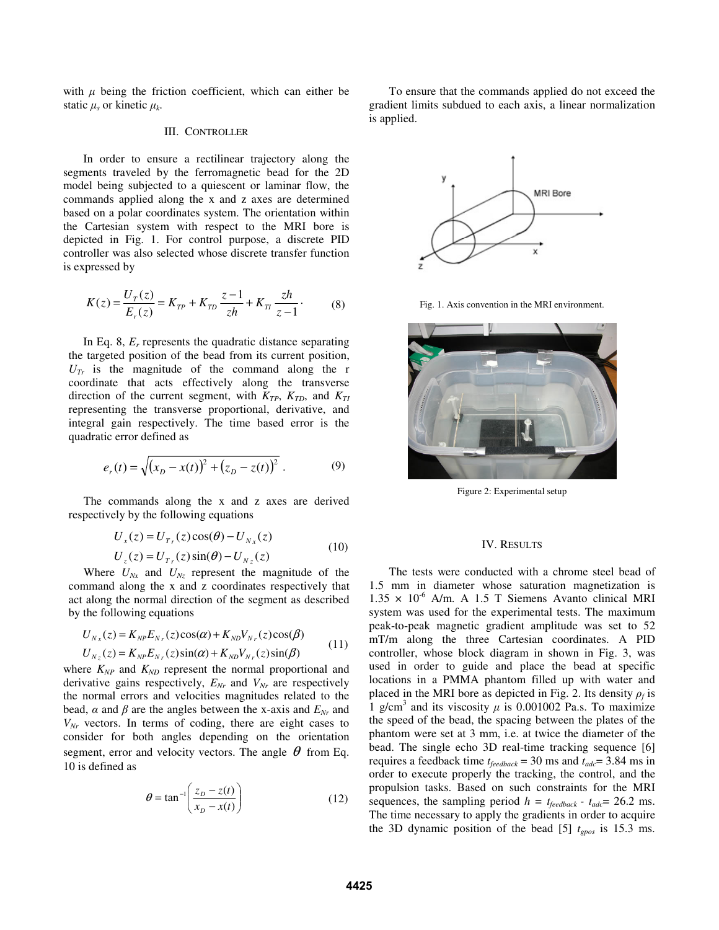with  $\mu$  being the friction coefficient, which can either be static μ*s* or kinetic μ*k*.

## III. CONTROLLER

In order to ensure a rectilinear trajectory along the segments traveled by the ferromagnetic bead for the 2D model being subjected to a quiescent or laminar flow, the commands applied along the x and z axes are determined based on a polar coordinates system. The orientation within the Cartesian system with respect to the MRI bore is depicted in Fig. 1. For control purpose, a discrete PID controller was also selected whose discrete transfer function is expressed by

$$
K(z) = \frac{U_T(z)}{E_r(z)} = K_{TP} + K_{TD} \frac{z-1}{zh} + K_{TI} \frac{zh}{z-1}.
$$
 (8)

In Eq. 8, *Er* represents the quadratic distance separating the targeted position of the bead from its current position,  $U_T$  is the magnitude of the command along the r coordinate that acts effectively along the transverse direction of the current segment, with  $K_{TP}$ ,  $K_{TD}$ , and  $K_{TI}$ representing the transverse proportional, derivative, and integral gain respectively. The time based error is the quadratic error defined as

$$
e_r(t) = \sqrt{(x_D - x(t))^2 + (z_D - z(t))^2}.
$$
 (9)

The commands along the x and z axes are derived respectively by the following equations

$$
U_x(z) = U_{T_r}(z)\cos(\theta) - U_{N_x}(z)
$$
  
\n
$$
U_z(z) = U_{T_r}(z)\sin(\theta) - U_{N_z}(z)
$$
\n(10)

Where  $U_{Nx}$  and  $U_{Nz}$  represent the magnitude of the command along the x and z coordinates respectively that act along the normal direction of the segment as described by the following equations

$$
U_{N_x}(z) = K_{NP} E_{N_r}(z) \cos(\alpha) + K_{ND} V_{N_r}(z) \cos(\beta)
$$
  
\n
$$
U_{N_z}(z) = K_{NP} E_{N_r}(z) \sin(\alpha) + K_{ND} V_{N_r}(z) \sin(\beta)
$$
\n(11)

where  $K_{NP}$  and  $K_{ND}$  represent the normal proportional and derivative gains respectively,  $E_{Nr}$  and  $V_{Nr}$  are respectively the normal errors and velocities magnitudes related to the bead,  $\alpha$  and  $\beta$  are the angles between the x-axis and  $E_{Nr}$  and *VNr* vectors. In terms of coding, there are eight cases to consider for both angles depending on the orientation segment, error and velocity vectors. The angle  $\theta$  from Eq. 10 is defined as

$$
\theta = \tan^{-1}\left(\frac{z_D - z(t)}{x_D - x(t)}\right) \tag{12}
$$

To ensure that the commands applied do not exceed the gradient limits subdued to each axis, a linear normalization is applied.



Fig. 1. Axis convention in the MRI environment.



Figure 2: Experimental setup

#### IV. RESULTS

The tests were conducted with a chrome steel bead of 1.5 mm in diameter whose saturation magnetization is  $1.35 \times 10^{-6}$  A/m. A 1.5 T Siemens Avanto clinical MRI system was used for the experimental tests. The maximum peak-to-peak magnetic gradient amplitude was set to 52 mT/m along the three Cartesian coordinates. A PID controller, whose block diagram in shown in Fig. 3, was used in order to guide and place the bead at specific locations in a PMMA phantom filled up with water and placed in the MRI bore as depicted in Fig. 2. Its density  $\rho_f$  is 1 g/cm<sup>3</sup> and its viscosity  $\mu$  is 0.001002 Pa.s. To maximize the speed of the bead, the spacing between the plates of the phantom were set at 3 mm, i.e. at twice the diameter of the bead. The single echo 3D real-time tracking sequence [6] requires a feedback time  $t_{\text{feedback}} = 30 \text{ ms}$  and  $t_{\text{adc}} = 3.84 \text{ ms}$  in order to execute properly the tracking, the control, and the propulsion tasks. Based on such constraints for the MRI sequences, the sampling period  $h = t_{feedback} - t_{adc} = 26.2$  ms. The time necessary to apply the gradients in order to acquire the 3D dynamic position of the bead [5]  $t_{\text{gpos}}$  is 15.3 ms.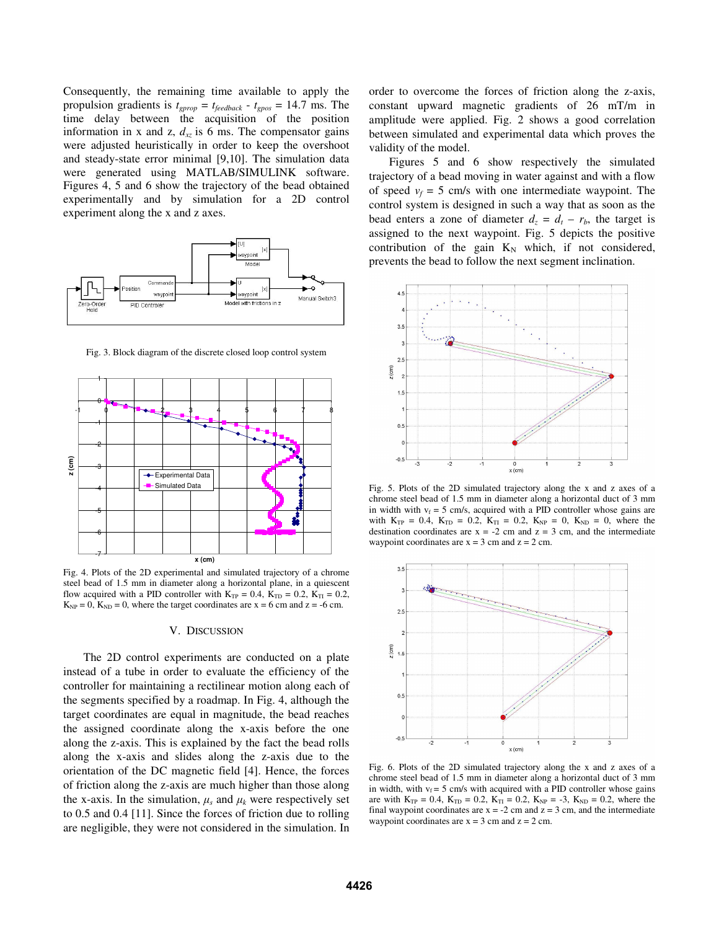Consequently, the remaining time available to apply the propulsion gradients is  $t_{\text{gprop}} = t_{\text{feedback}} - t_{\text{gpos}} = 14.7 \text{ ms.}$  The time delay between the acquisition of the position information in x and z,  $d_{xz}$  is 6 ms. The compensator gains were adjusted heuristically in order to keep the overshoot and steady-state error minimal [9,10]. The simulation data were generated using MATLAB/SIMULINK software. Figures 4, 5 and 6 show the trajectory of the bead obtained experimentally and by simulation for a 2D control experiment along the x and z axes.



Fig. 3. Block diagram of the discrete closed loop control system



Fig. 4. Plots of the 2D experimental and simulated trajectory of a chrome steel bead of 1.5 mm in diameter along a horizontal plane, in a quiescent flow acquired with a PID controller with  $K_{TP} = 0.4$ ,  $K_{TD} = 0.2$ ,  $K_{TI} = 0.2$ ,  $K_{NP} = 0$ ,  $K_{ND} = 0$ , where the target coordinates are  $x = 6$  cm and  $z = -6$  cm.

## V. DISCUSSION

 The 2D control experiments are conducted on a plate instead of a tube in order to evaluate the efficiency of the controller for maintaining a rectilinear motion along each of the segments specified by a roadmap. In Fig. 4, although the target coordinates are equal in magnitude, the bead reaches the assigned coordinate along the x-axis before the one along the z-axis. This is explained by the fact the bead rolls along the x-axis and slides along the z-axis due to the orientation of the DC magnetic field [4]. Hence, the forces of friction along the z-axis are much higher than those along the x-axis. In the simulation,  $\mu_s$  and  $\mu_k$  were respectively set to 0.5 and 0.4 [11]. Since the forces of friction due to rolling are negligible, they were not considered in the simulation. In order to overcome the forces of friction along the z-axis, constant upward magnetic gradients of 26 mT/m in amplitude were applied. Fig. 2 shows a good correlation between simulated and experimental data which proves the validity of the model.

 Figures 5 and 6 show respectively the simulated trajectory of a bead moving in water against and with a flow of speed  $v_f = 5$  cm/s with one intermediate waypoint. The control system is designed in such a way that as soon as the bead enters a zone of diameter  $d_z = d_t - r_b$ , the target is assigned to the next waypoint. Fig. 5 depicts the positive contribution of the gain  $K_N$  which, if not considered, prevents the bead to follow the next segment inclination.



Fig. 5. Plots of the 2D simulated trajectory along the x and z axes of a chrome steel bead of 1.5 mm in diameter along a horizontal duct of 3 mm in width with  $v_f = 5$  cm/s, acquired with a PID controller whose gains are with  $K_{TP} = 0.4$ ,  $K_{TD} = 0.2$ ,  $K_{TI} = 0.2$ ,  $K_{NP} = 0$ ,  $K_{ND} = 0$ , where the destination coordinates are  $x = -2$  cm and  $z = 3$  cm, and the intermediate waypoint coordinates are  $x = 3$  cm and  $z = 2$  cm.



Fig. 6. Plots of the 2D simulated trajectory along the x and z axes of a chrome steel bead of 1.5 mm in diameter along a horizontal duct of 3 mm in width, with  $v_f = 5$  cm/s with acquired with a PID controller whose gains are with  $K_{TP} = 0.4$ ,  $K_{TD} = 0.2$ ,  $K_{TI} = 0.2$ ,  $K_{NP} = -3$ ,  $K_{ND} = 0.2$ , where the final waypoint coordinates are  $x = -2$  cm and  $z = 3$  cm, and the intermediate waypoint coordinates are  $x = 3$  cm and  $z = 2$  cm.